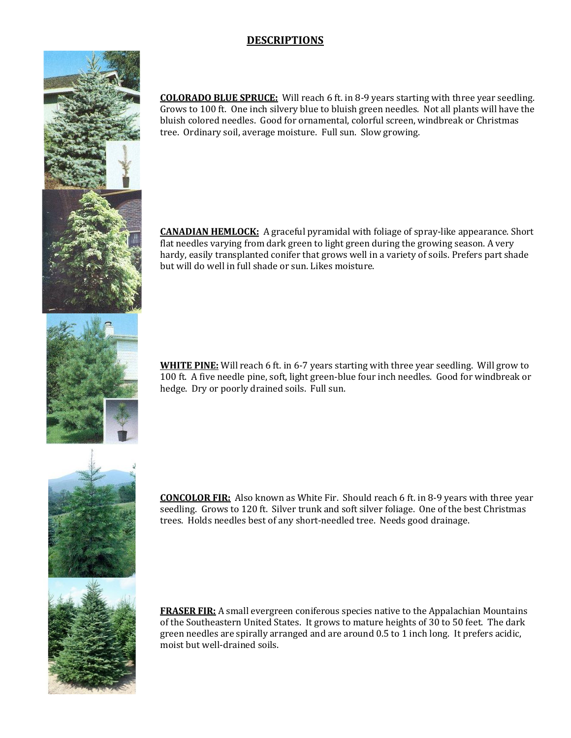# **DESCRIPTIONS**

**COLORADO BLUE SPRUCE:** Will reach 6 ft. in 8-9 years starting with three year seedling. Grows to 100 ft. One inch silvery blue to bluish green needles. Not all plants will have the bluish colored needles. Good for ornamental, colorful screen, windbreak or Christmas tree. Ordinary soil, average moisture. Full sun. Slow growing.

**CANADIAN HEMLOCK:** A graceful pyramidal with foliage of spray-like appearance. Short flat needles varying from dark green to light green during the growing season. A very hardy, easily transplanted conifer that grows well in a variety of soils. Prefers part shade but will do well in full shade or sun. Likes moisture.



**WHITE PINE:** Will reach 6 ft. in 6-7 years starting with three year seedling. Will grow to 100 ft. A five needle pine, soft, light green-blue four inch needles. Good for windbreak or hedge. Dry or poorly drained soils. Full sun.



**CONCOLOR FIR:** Also known as White Fir. Should reach 6 ft. in 8-9 years with three year seedling. Grows to 120 ft. Silver trunk and soft silver foliage. One of the best Christmas trees. Holds needles best of any short-needled tree. Needs good drainage.



**FRASER FIR:** A small evergreen coniferous species native to the Appalachian Mountains of the Southeastern United States. It grows to mature heights of 30 to 50 feet. The dark green needles are spirally arranged and are around 0.5 to 1 inch long. It prefers acidic, moist but well-drained soils.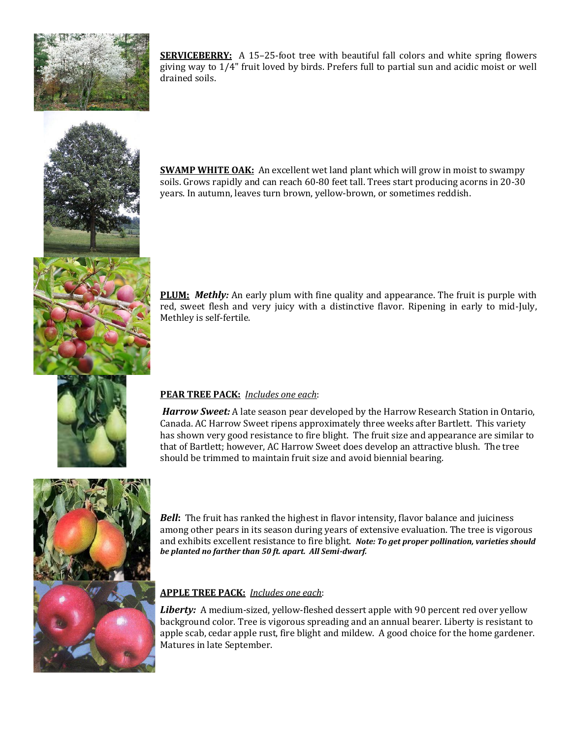

**SERVICEBERRY:** A 15-25-foot tree with beautiful fall colors and white spring flowers giving way to 1/4" fruit loved by birds. Prefers full to partial sun and acidic moist or well drained soils.



**SWAMP WHITE OAK:** An excellent wet land plant which will grow in moist to swampy soils. Grows rapidly and can reach 60-80 feet tall. Trees start producing acorns in 20-30 years. In autumn, leaves turn brown, yellow-brown, or sometimes reddish.



**PLUM:** *Methly:* An early plum with fine quality and appearance. The fruit is purple with red, sweet flesh and very juicy with a distinctive flavor. Ripening in early to mid-July, Methley is self-fertile.



## **PEAR TREE PACK:** *Includes one each*:

*Harrow Sweet:* A late season pear developed by the Harrow Research Station in Ontario, Canada. AC Harrow Sweet ripens approximately three weeks after Bartlett. This variety has shown very good resistance to fire blight. The fruit size and appearance are similar to that of Bartlett; however, AC Harrow Sweet does develop an attractive blush. The tree should be trimmed to maintain fruit size and avoid biennial bearing.



*Bell***:** The fruit has ranked the highest in flavor intensity, flavor balance and juiciness among other pears in its season during years of extensive evaluation. The tree is vigorous and exhibits excellent resistance to fire blight. *Note: To get proper pollination, varieties should be planted no farther than 50 ft. apart. All Semi-dwarf.*

## **APPLE TREE PACK:** *Includes one each*:

**Liberty:** A medium-sized, yellow-fleshed dessert apple with 90 percent red over yellow background color. Tree is vigorous spreading and an annual bearer. Liberty is resistant to apple scab, cedar apple rust, fire blight and mildew. A good choice for the home gardener. Matures in late September.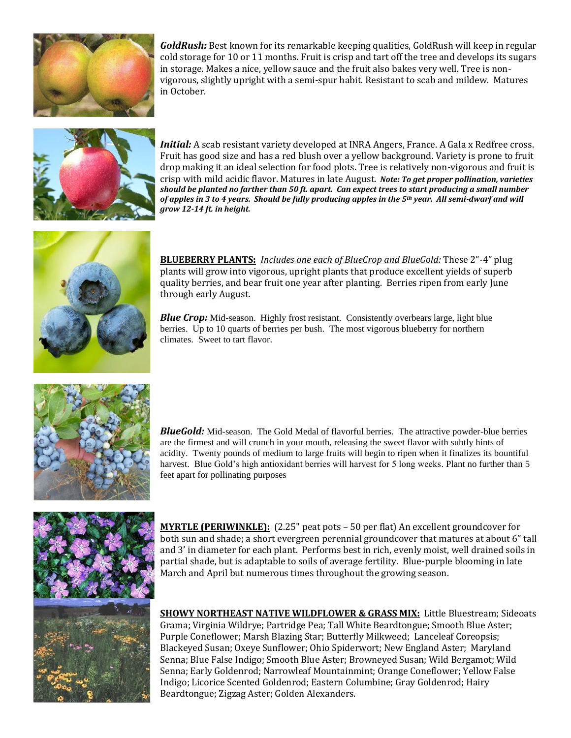

*GoldRush:* Best known for its remarkable keeping qualities, GoldRush will keep in regular cold storage for 10 or 11 months. Fruit is crisp and tart off the tree and develops its sugars in storage. Makes a nice, yellow sauce and the fruit also bakes very well. Tree is nonvigorous, slightly upright with a semi-spur habit. Resistant to scab and mildew. Matures in October.



*Initial:* A scab resistant variety developed at INRA Angers, France. A Gala x Redfree cross. Fruit has good size and has a red blush over a yellow background. Variety is prone to fruit drop making it an ideal selection for food plots. Tree is relatively non-vigorous and fruit is crisp with mild acidic flavor. Matures in late August*. Note: To get proper pollination, varieties should be planted no farther than 50 ft. apart. Can expect trees to start producing a small number of apples in 3 to 4 years. Should be fully producing apples in the 5th year. All semi-dwarf and will grow 12-14 ft. in height.*



**BLUEBERRY PLANTS:** *Includes one each of BlueCrop and BlueGold:* These 2"-4" plug plants will grow into vigorous, upright plants that produce excellent yields of superb quality berries, and bear fruit one year after planting. Berries ripen from early June through early August.

**Blue Crop:** Mid-season. Highly frost resistant. Consistently overbears large, light blue berries. Up to 10 quarts of berries per bush. The most vigorous blueberry for northern climates. Sweet to tart flavor.



*BlueGold:* Mid-season. The Gold Medal of flavorful berries. The attractive powder-blue berries are the firmest and will crunch in your mouth, releasing the sweet flavor with subtly hints of acidity. Twenty pounds of medium to large fruits will begin to ripen when it finalizes its bountiful harvest. Blue Gold's high antioxidant berries will harvest for 5 long weeks. Plant no further than 5 feet apart for pollinating purposes



**MYRTLE (PERIWINKLE):** (2.25" peat pots – 50 per flat) An excellent groundcover for both sun and shade; a short evergreen perennial groundcover that matures at about 6" tall and 3' in diameter for each plant. Performs best in rich, evenly moist, well drained soils in partial shade, but is adaptable to soils of average fertility. Blue-purple blooming in late March and April but numerous times throughout the growing season.

**SHOWY NORTHEAST NATIVE WILDFLOWER & GRASS MIX:** Little Bluestream; Sideoats Grama; Virginia Wildrye; Partridge Pea; Tall White Beardtongue; Smooth Blue Aster; Purple Coneflower; Marsh Blazing Star; Butterfly Milkweed; Lanceleaf Coreopsis; Blackeyed Susan; Oxeye Sunflower; Ohio Spiderwort; New England Aster; Maryland Senna; Blue False Indigo; Smooth Blue Aster; Browneyed Susan; Wild Bergamot; Wild Senna; Early Goldenrod; Narrowleaf Mountainmint; Orange Coneflower; Yellow False Indigo; Licorice Scented Goldenrod; Eastern Columbine; Gray Goldenrod; Hairy Beardtongue; Zigzag Aster; Golden Alexanders.